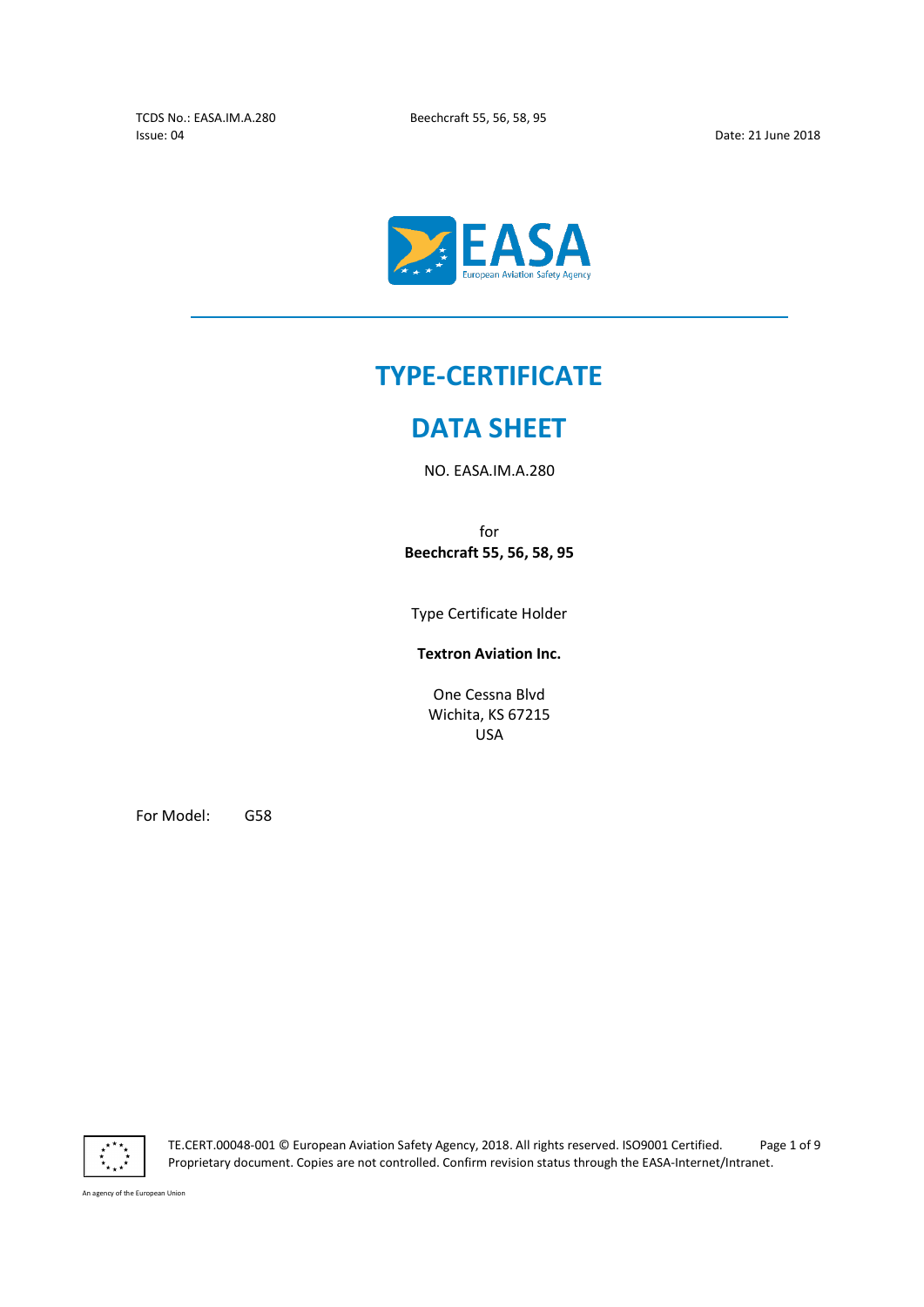Issue: 04 Date: 21 June 2018

 $\overline{a}$ 



# TYPE-CERTIFICATE

## DATA SHEET

NO. EASA.IM.A.280

for Beechcraft 55, 56, 58, 95

Type Certificate Holder

Textron Aviation Inc.

One Cessna Blvd Wichita, KS 67215 USA

For Model: G58



TE.CERT.00048-001 © European Aviation Safety Agency, 2018. All rights reserved. ISO9001 Certified. Page 1 of 9 Proprietary document. Copies are not controlled. Confirm revision status through the EASA-Internet/Intranet.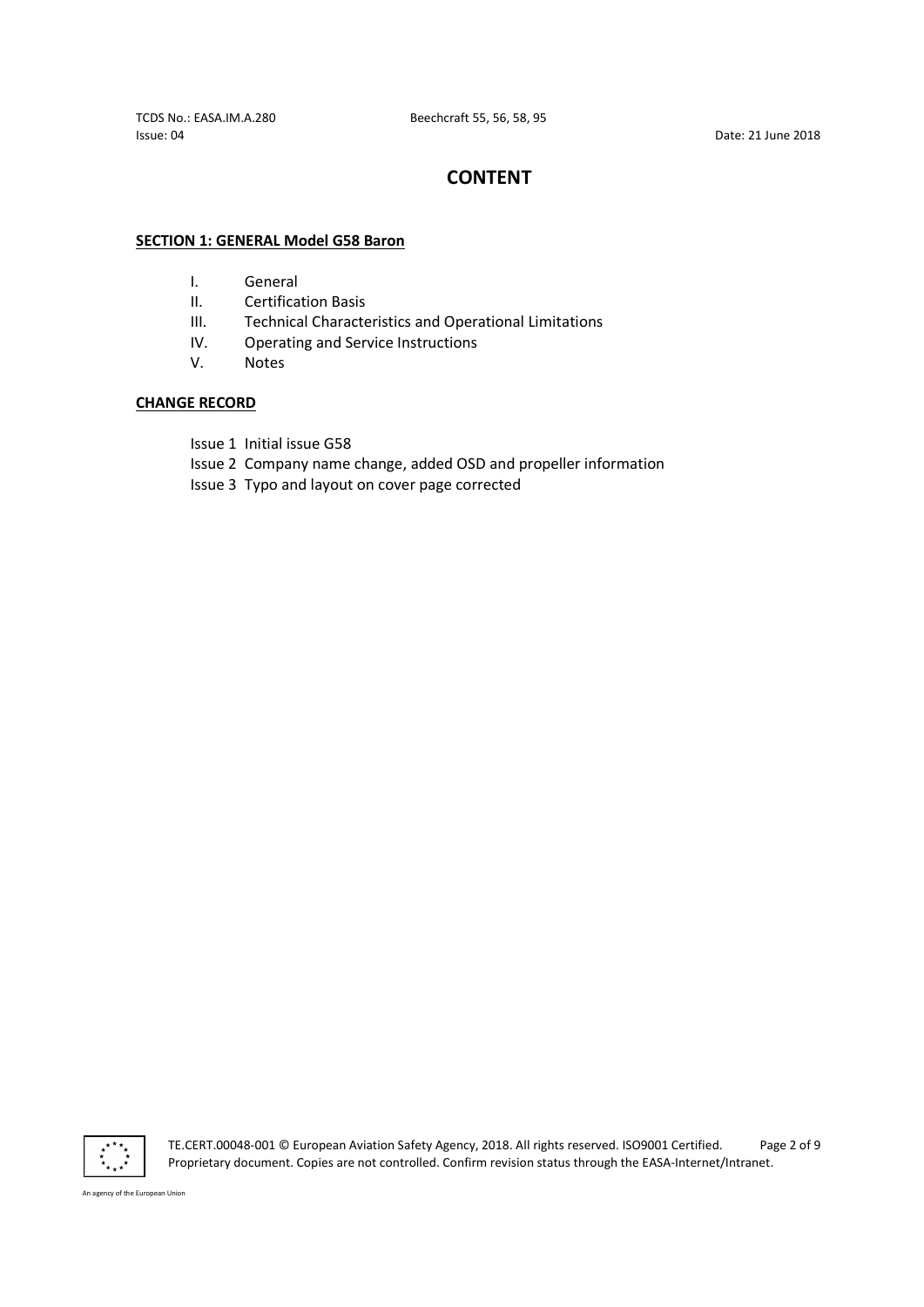Issue: 04 Date: 21 June 2018

TCDS No.: EASA.IM.A.280 Beechcraft 55, 56, 58, 95

## **CONTENT**

### SECTION 1: GENERAL Model G58 Baron

- I. General
- II. Certification Basis
- III. Technical Characteristics and Operational Limitations
- IV. Operating and Service Instructions
- V. Notes

### CHANGE RECORD

- Issue 1 Initial issue G58
- Issue 2 Company name change, added OSD and propeller information
- Issue 3 Typo and layout on cover page corrected



TE.CERT.00048-001 © European Aviation Safety Agency, 2018. All rights reserved. ISO9001 Certified. Page 2 of 9 Proprietary document. Copies are not controlled. Confirm revision status through the EASA-Internet/Intranet.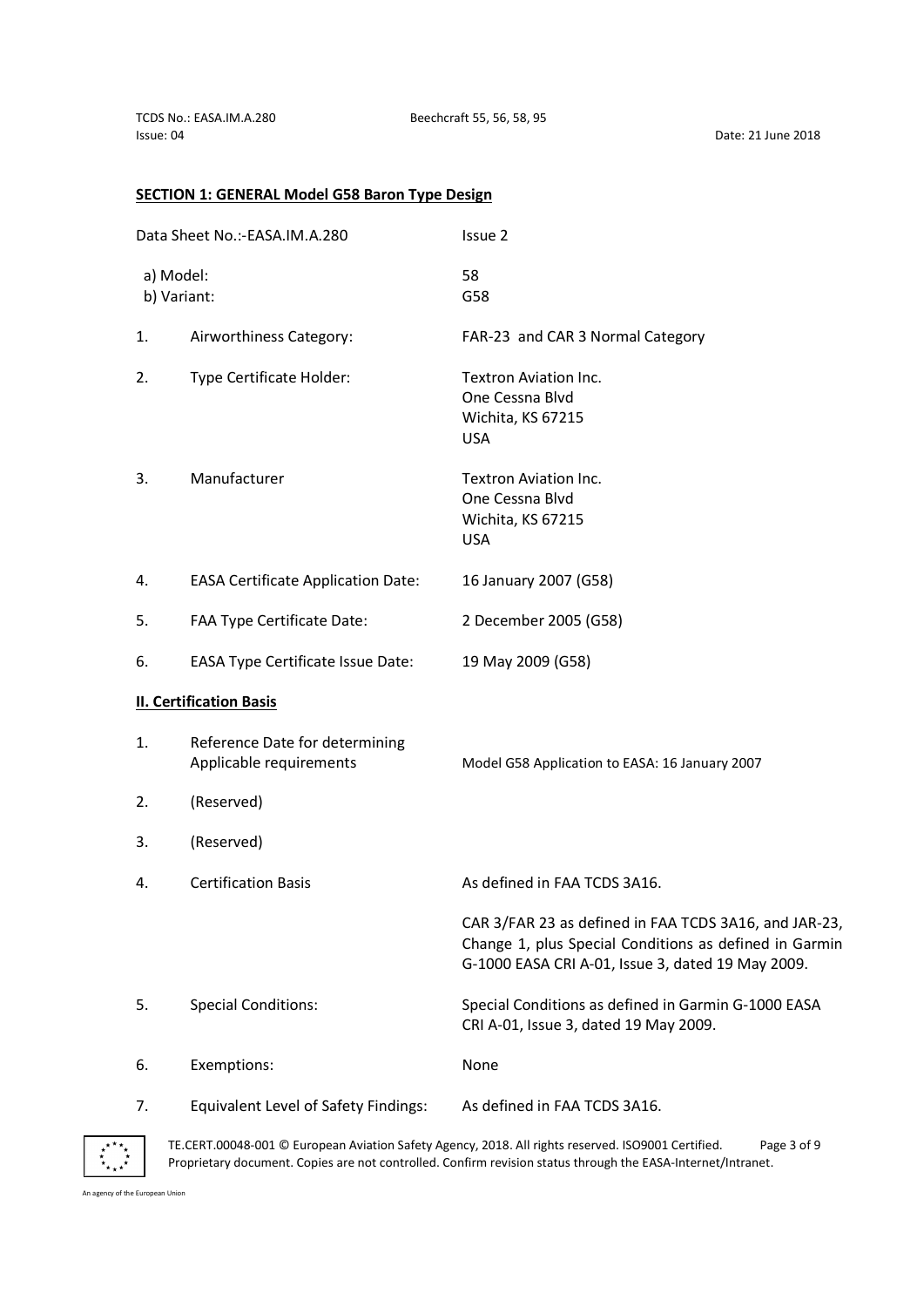## SECTION 1: GENERAL Model G58 Baron Type Design

| Data Sheet No.:-EASA.IM.A.280 |                                                           | Issue 2                                                                                                                                                              |
|-------------------------------|-----------------------------------------------------------|----------------------------------------------------------------------------------------------------------------------------------------------------------------------|
| a) Model:<br>b) Variant:      |                                                           | 58<br>G58                                                                                                                                                            |
| 1.                            | Airworthiness Category:                                   | FAR-23 and CAR 3 Normal Category                                                                                                                                     |
| 2.                            | Type Certificate Holder:                                  | Textron Aviation Inc.<br>One Cessna Blvd<br>Wichita, KS 67215<br><b>USA</b>                                                                                          |
| 3.                            | Manufacturer                                              | Textron Aviation Inc.<br>One Cessna Blvd<br>Wichita, KS 67215<br><b>USA</b>                                                                                          |
| 4.                            | <b>EASA Certificate Application Date:</b>                 | 16 January 2007 (G58)                                                                                                                                                |
| 5.                            | FAA Type Certificate Date:                                | 2 December 2005 (G58)                                                                                                                                                |
| 6.                            | <b>EASA Type Certificate Issue Date:</b>                  | 19 May 2009 (G58)                                                                                                                                                    |
|                               | <b>II. Certification Basis</b>                            |                                                                                                                                                                      |
| 1.                            | Reference Date for determining<br>Applicable requirements | Model G58 Application to EASA: 16 January 2007                                                                                                                       |
| 2.                            | (Reserved)                                                |                                                                                                                                                                      |
| 3.                            | (Reserved)                                                |                                                                                                                                                                      |
| 4.                            | <b>Certification Basis</b>                                | As defined in FAA TCDS 3A16.                                                                                                                                         |
|                               |                                                           | CAR 3/FAR 23 as defined in FAA TCDS 3A16, and JAR-23,<br>Change 1, plus Special Conditions as defined in Garmin<br>G-1000 EASA CRI A-01, Issue 3, dated 19 May 2009. |
| 5.                            | <b>Special Conditions:</b>                                | Special Conditions as defined in Garmin G-1000 EASA<br>CRI A-01, Issue 3, dated 19 May 2009.                                                                         |
| 6.                            | Exemptions:                                               | None                                                                                                                                                                 |
| 7.                            | Equivalent Level of Safety Findings:                      | As defined in FAA TCDS 3A16.                                                                                                                                         |



TE.CERT.00048-001 © European Aviation Safety Agency, 2018. All rights reserved. ISO9001 Certified. Page 3 of 9 Proprietary document. Copies are not controlled. Confirm revision status through the EASA-Internet/Intranet.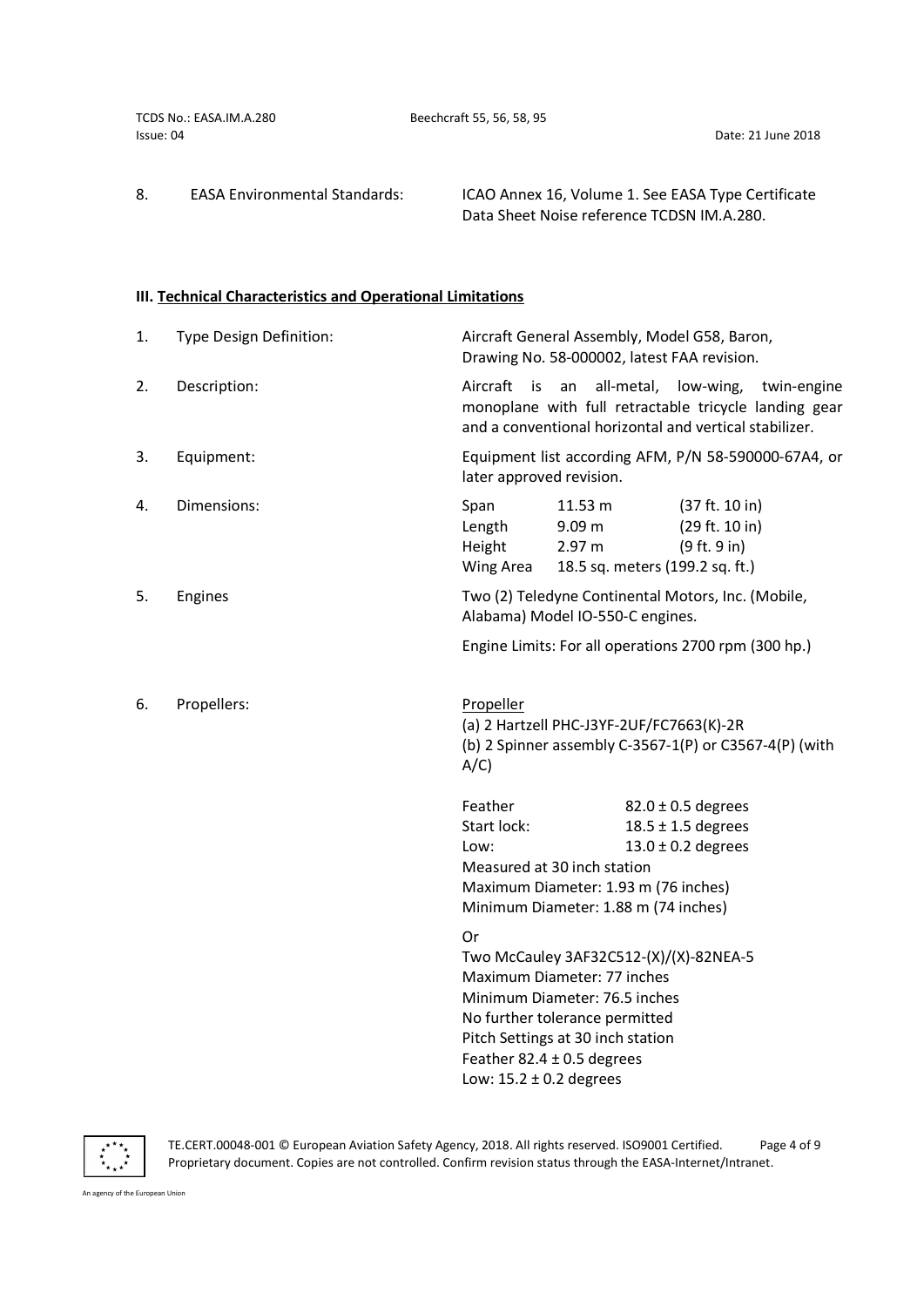TCDS No.: EASA.IM.A.280 Beechcraft 55, 56, 58, 95 Issue: 04 Date: 21 June 2018

8. EASA Environmental Standards: ICAO Annex 16, Volume 1. See EASA Type Certificate Data Sheet Noise reference TCDSN IM.A.280.

## III. Technical Characteristics and Operational Limitations

| 1. | Type Design Definition: | Aircraft General Assembly, Model G58, Baron,<br>Drawing No. 58-000002, latest FAA revision.                                                                                                                                                          |                                                                                                             |                                                                            |  |
|----|-------------------------|------------------------------------------------------------------------------------------------------------------------------------------------------------------------------------------------------------------------------------------------------|-------------------------------------------------------------------------------------------------------------|----------------------------------------------------------------------------|--|
| 2. | Description:            | all-metal, low-wing,<br>Aircraft<br>is<br>an<br>twin-engine<br>monoplane with full retractable tricycle landing gear<br>and a conventional horizontal and vertical stabilizer.                                                                       |                                                                                                             |                                                                            |  |
| 3. | Equipment:              | Equipment list according AFM, P/N 58-590000-67A4, or<br>later approved revision.                                                                                                                                                                     |                                                                                                             |                                                                            |  |
| 4. | Dimensions:             | Span<br>Length<br>Height<br>Wing Area                                                                                                                                                                                                                | 11.53 m<br>9.09 m<br>2.97 m<br>18.5 sq. meters (199.2 sq. ft.)                                              | (37 ft. 10 in)<br>(29 ft. 10 in)<br>(9 ft. 9 in)                           |  |
| 5. | Engines                 | Two (2) Teledyne Continental Motors, Inc. (Mobile,<br>Alabama) Model IO-550-C engines.                                                                                                                                                               |                                                                                                             |                                                                            |  |
|    |                         |                                                                                                                                                                                                                                                      | Engine Limits: For all operations 2700 rpm (300 hp.)                                                        |                                                                            |  |
| 6. | Propellers:             | Propeller<br>(a) 2 Hartzell PHC-J3YF-2UF/FC7663(K)-2R<br>(b) 2 Spinner assembly C-3567-1(P) or C3567-4(P) (with<br>A/C                                                                                                                               |                                                                                                             |                                                                            |  |
|    |                         | Feather<br>Start lock:<br>Low:                                                                                                                                                                                                                       | Measured at 30 inch station<br>Maximum Diameter: 1.93 m (76 inches)<br>Minimum Diameter: 1.88 m (74 inches) | $82.0 \pm 0.5$ degrees<br>$18.5 \pm 1.5$ degrees<br>$13.0 \pm 0.2$ degrees |  |
|    |                         | Or<br>Two McCauley 3AF32C512-(X)/(X)-82NEA-5<br>Maximum Diameter: 77 inches<br>Minimum Diameter: 76.5 inches<br>No further tolerance permitted<br>Pitch Settings at 30 inch station<br>Feather 82.4 $\pm$ 0.5 degrees<br>Low: $15.2 \pm 0.2$ degrees |                                                                                                             |                                                                            |  |



TE.CERT.00048-001 © European Aviation Safety Agency, 2018. All rights reserved. ISO9001 Certified. Page 4 of 9 Proprietary document. Copies are not controlled. Confirm revision status through the EASA-Internet/Intranet.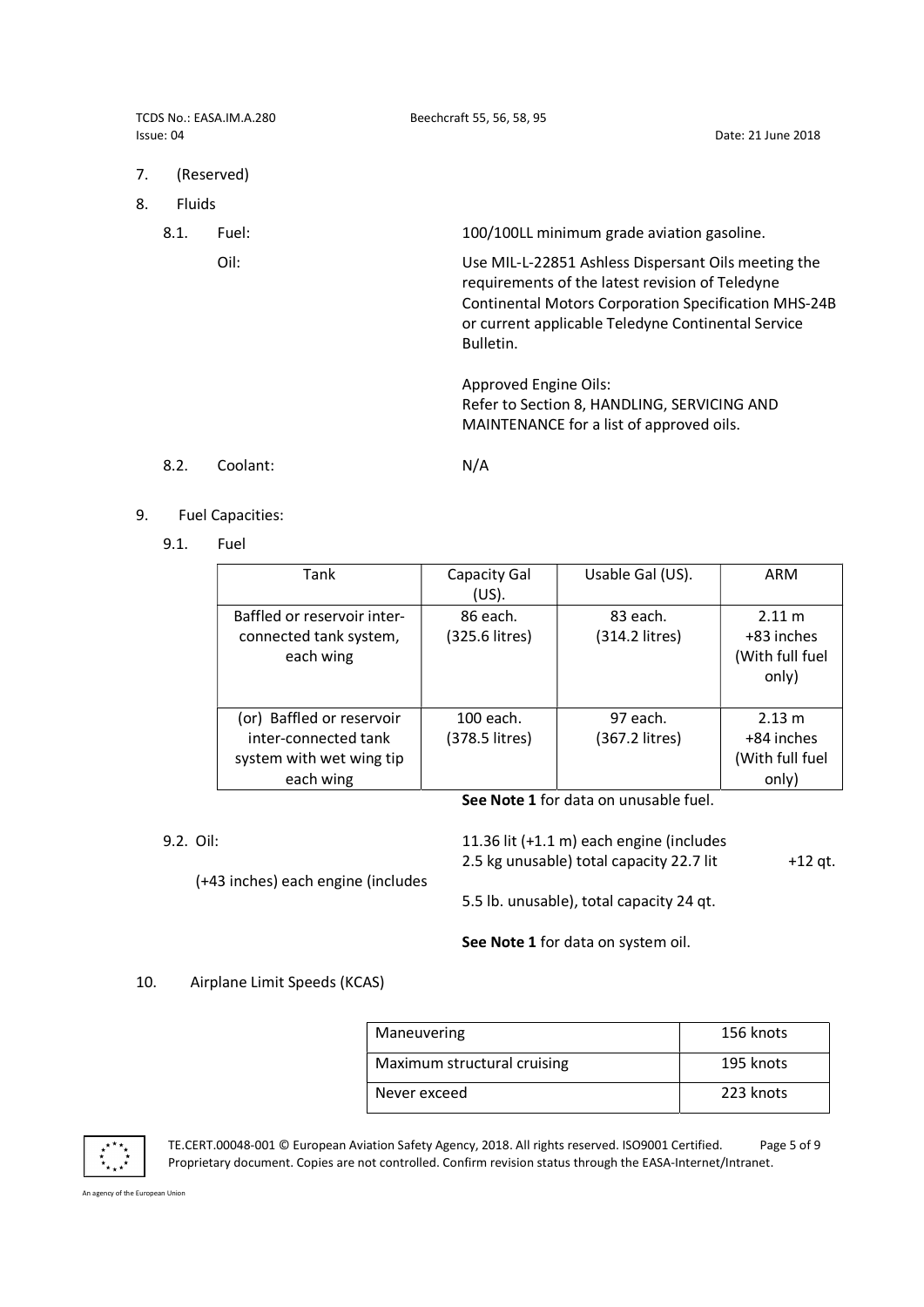| TCDS No.: EASA.IM.A.280<br>Issue: 04 |               |            | Beechcraft 55, 56, 58, 95<br>Date: 21 June 2018                                                                                                                                                                                          |  |
|--------------------------------------|---------------|------------|------------------------------------------------------------------------------------------------------------------------------------------------------------------------------------------------------------------------------------------|--|
| 7.                                   |               | (Reserved) |                                                                                                                                                                                                                                          |  |
| 8.                                   | <b>Fluids</b> |            |                                                                                                                                                                                                                                          |  |
|                                      | 8.1.          | Fuel:      | 100/100LL minimum grade aviation gasoline.                                                                                                                                                                                               |  |
|                                      |               | Oil:       | Use MIL-L-22851 Ashless Dispersant Oils meeting the<br>requirements of the latest revision of Teledyne<br><b>Continental Motors Corporation Specification MHS-24B</b><br>or current applicable Teledyne Continental Service<br>Bulletin. |  |
|                                      |               |            | Approved Engine Oils:<br>Refer to Section 8, HANDLING, SERVICING AND<br>MAINTENANCE for a list of approved oils.                                                                                                                         |  |

8.2. Coolant: N/A

- 9. Fuel Capacities:
	- 9.1. Fuel

| Tank                                                                                       | Capacity Gal<br>(US).       | Usable Gal (US).           | ARM                                              |  |  |
|--------------------------------------------------------------------------------------------|-----------------------------|----------------------------|--------------------------------------------------|--|--|
| Baffled or reservoir inter-<br>connected tank system,<br>each wing                         | 86 each.<br>(325.6 litres)  | 83 each.<br>(314.2 litres) | 2.11 m<br>+83 inches<br>(With full fuel<br>only) |  |  |
| (or) Baffled or reservoir<br>inter-connected tank<br>system with wet wing tip<br>each wing | 100 each.<br>(378.5 litres) | 97 each.<br>(367.2 litres) | 2.13 m<br>+84 inches<br>(With full fuel<br>only) |  |  |
| See Note 1 for data on unusable fuel                                                       |                             |                            |                                                  |  |  |

i**ee Note 1** for data on unusable fuel.

| 9.2. Oil: | (+43 inches) each engine (includes | 11.36 lit (+1.1 m) each engine (includes<br>2.5 kg unusable) total capacity 22.7 lit | +12 at. |
|-----------|------------------------------------|--------------------------------------------------------------------------------------|---------|
|           |                                    | 5.5 lb. unusable), total capacity 24 gt.                                             |         |

See Note 1 for data on system oil.

## 10. Airplane Limit Speeds (KCAS)

| Maneuvering                 | 156 knots |
|-----------------------------|-----------|
| Maximum structural cruising | 195 knots |
| Never exceed                | 223 knots |



TE.CERT.00048-001 © European Aviation Safety Agency, 2018. All rights reserved. ISO9001 Certified. Page 5 of 9 Proprietary document. Copies are not controlled. Confirm revision status through the EASA-Internet/Intranet.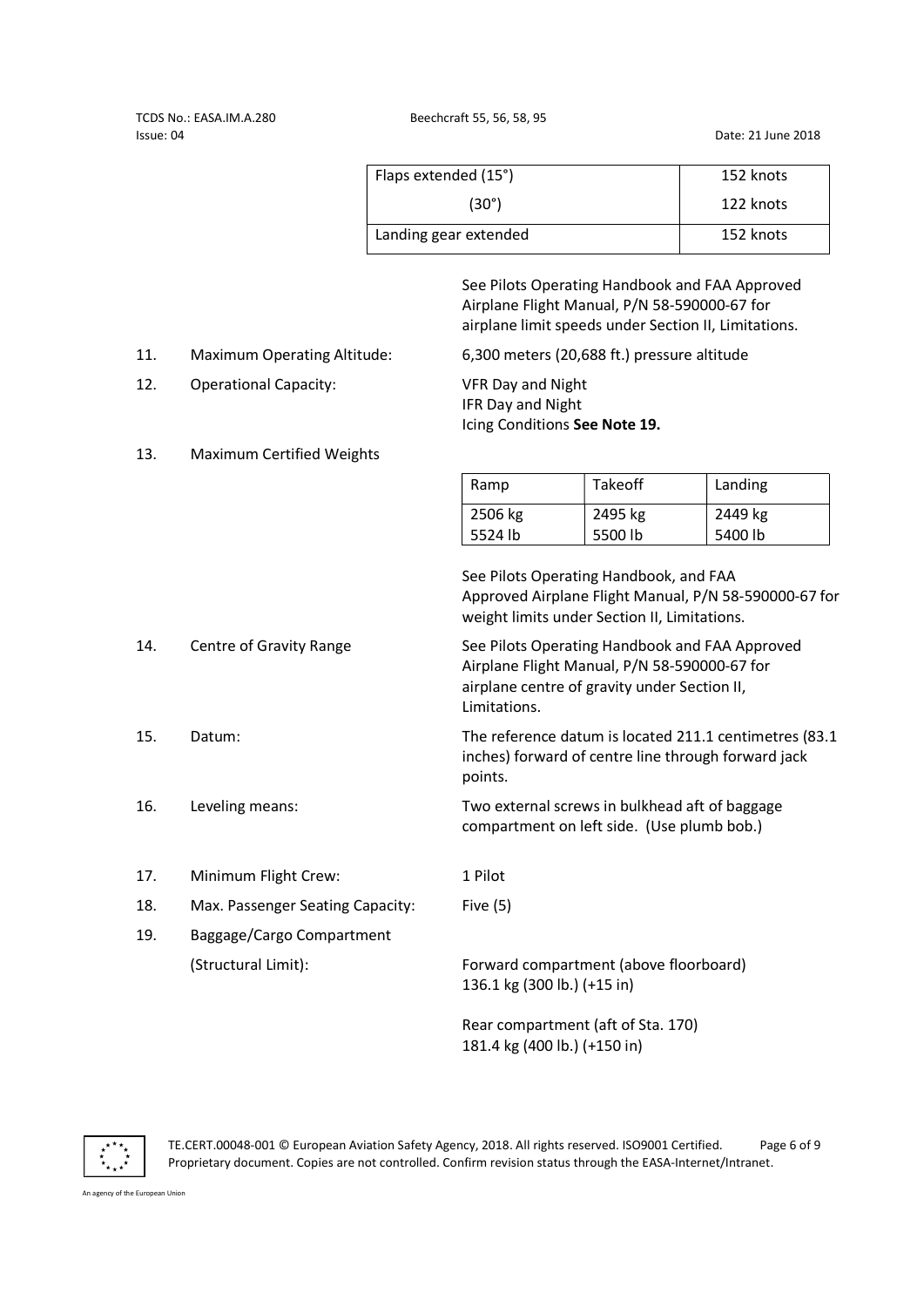TCDS No.: EASA.IM.A.280 Beechcraft 55, 56, 58, 95 Issue: 04 Date: 21 June 2018

|     |                                    | Flaps extended (15°)                                                                                                                                           |                    | 152 knots          |
|-----|------------------------------------|----------------------------------------------------------------------------------------------------------------------------------------------------------------|--------------------|--------------------|
|     |                                    | $(30^\circ)$                                                                                                                                                   |                    | 122 knots          |
|     |                                    | Landing gear extended                                                                                                                                          |                    | 152 knots          |
|     |                                    | See Pilots Operating Handbook and FAA Approved<br>Airplane Flight Manual, P/N 58-590000-67 for<br>airplane limit speeds under Section II, Limitations.         |                    |                    |
| 11. | <b>Maximum Operating Altitude:</b> | 6,300 meters (20,688 ft.) pressure altitude                                                                                                                    |                    |                    |
| 12. | <b>Operational Capacity:</b>       | <b>VFR Day and Night</b><br>IFR Day and Night<br>Icing Conditions See Note 19.                                                                                 |                    |                    |
| 13. | Maximum Certified Weights          |                                                                                                                                                                |                    |                    |
|     |                                    | Ramp                                                                                                                                                           | Takeoff            | Landing            |
|     |                                    | 2506 kg<br>5524 lb                                                                                                                                             | 2495 kg<br>5500 lb | 2449 kg<br>5400 lb |
|     |                                    | See Pilots Operating Handbook, and FAA<br>Approved Airplane Flight Manual, P/N 58-590000-67 for<br>weight limits under Section II, Limitations.                |                    |                    |
| 14. | Centre of Gravity Range            | See Pilots Operating Handbook and FAA Approved<br>Airplane Flight Manual, P/N 58-590000-67 for<br>airplane centre of gravity under Section II,<br>Limitations. |                    |                    |
| 15. | Datum:                             | The reference datum is located 211.1 centimetres (83.1<br>inches) forward of centre line through forward jack<br>points.                                       |                    |                    |
| 16. | Leveling means:                    | Two external screws in bulkhead aft of baggage<br>compartment on left side. (Use plumb bob.)                                                                   |                    |                    |
| 17. | Minimum Flight Crew:               | 1 Pilot                                                                                                                                                        |                    |                    |
| 18. | Max. Passenger Seating Capacity:   | Five $(5)$                                                                                                                                                     |                    |                    |
| 19. | Baggage/Cargo Compartment          |                                                                                                                                                                |                    |                    |
|     | (Structural Limit):                | Forward compartment (above floorboard)<br>136.1 kg (300 lb.) (+15 in)                                                                                          |                    |                    |
|     |                                    | Rear compartment (aft of Sta. 170)                                                                                                                             |                    |                    |

 $\ddot{\bm{x}}_{\star\star}\dot{\vec{x}}$ An agency of the European Union

TE.CERT.00048-001 © European Aviation Safety Agency, 2018. All rights reserved. ISO9001 Certified. Page 6 of 9 Proprietary document. Copies are not controlled. Confirm revision status through the EASA-Internet/Intranet.

181.4 kg (400 lb.) (+150 in)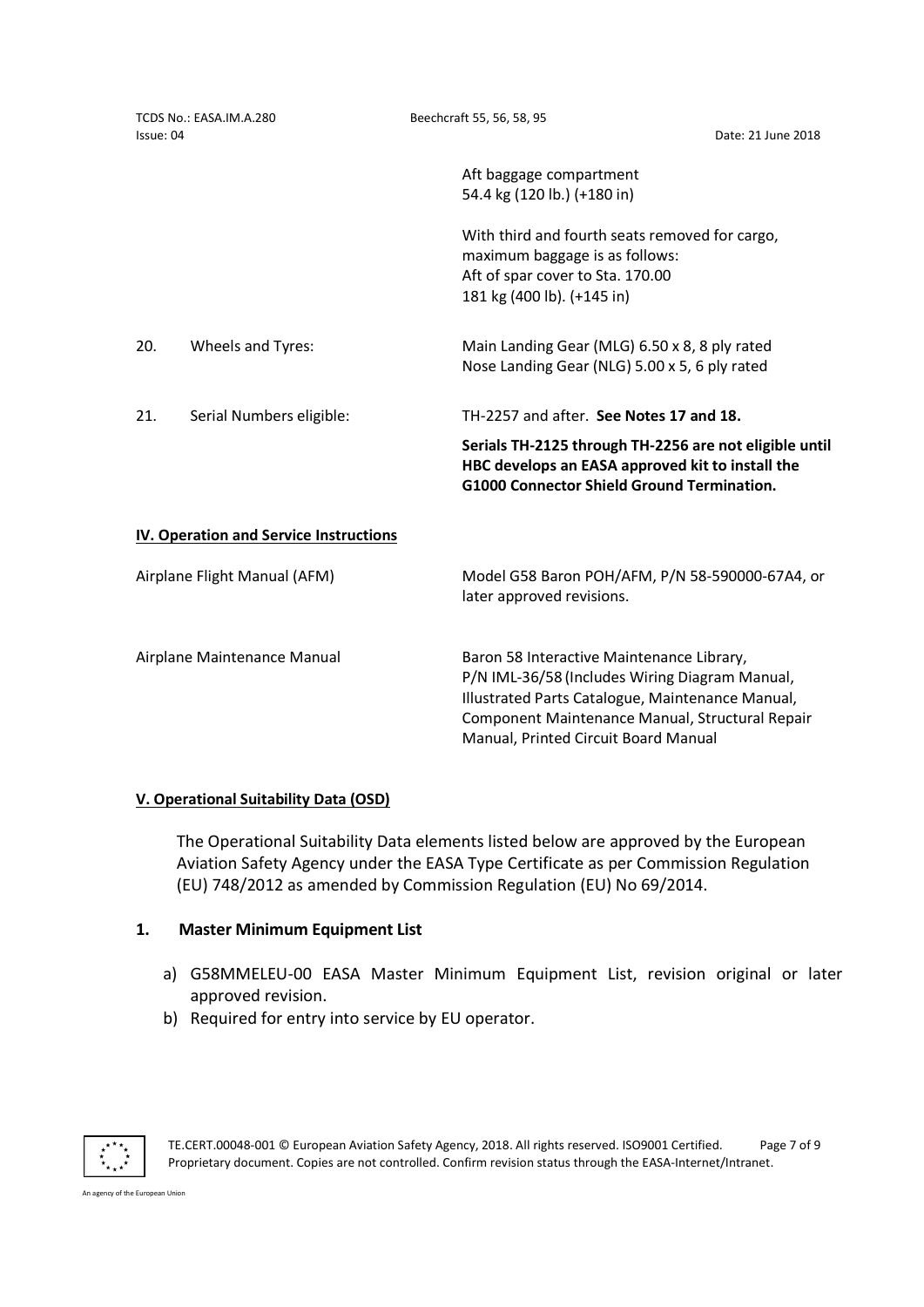| TCDS No.: EASA.IM.A.280<br>Issue: 04 |                                               | Beechcraft 55, 56, 58, 95<br>Date: 21 June 2018                                                                                                                                                                                            |
|--------------------------------------|-----------------------------------------------|--------------------------------------------------------------------------------------------------------------------------------------------------------------------------------------------------------------------------------------------|
|                                      |                                               | Aft baggage compartment<br>54.4 kg (120 lb.) (+180 in)                                                                                                                                                                                     |
|                                      |                                               | With third and fourth seats removed for cargo,<br>maximum baggage is as follows:<br>Aft of spar cover to Sta. 170.00<br>181 kg (400 lb). (+145 in)                                                                                         |
| 20.                                  | Wheels and Tyres:                             | Main Landing Gear (MLG) 6.50 x 8, 8 ply rated<br>Nose Landing Gear (NLG) 5.00 x 5, 6 ply rated                                                                                                                                             |
| 21.                                  | Serial Numbers eligible:                      | TH-2257 and after. See Notes 17 and 18.                                                                                                                                                                                                    |
|                                      |                                               | Serials TH-2125 through TH-2256 are not eligible until<br>HBC develops an EASA approved kit to install the<br><b>G1000 Connector Shield Ground Termination.</b>                                                                            |
|                                      | <b>IV. Operation and Service Instructions</b> |                                                                                                                                                                                                                                            |
| Airplane Flight Manual (AFM)         |                                               | Model G58 Baron POH/AFM, P/N 58-590000-67A4, or<br>later approved revisions.                                                                                                                                                               |
| Airplane Maintenance Manual          |                                               | Baron 58 Interactive Maintenance Library,<br>P/N IML-36/58 (Includes Wiring Diagram Manual,<br>Illustrated Parts Catalogue, Maintenance Manual,<br>Component Maintenance Manual, Structural Repair<br>Manual, Printed Circuit Board Manual |

## V. Operational Suitability Data (OSD)

The Operational Suitability Data elements listed below are approved by the European Aviation Safety Agency under the EASA Type Certificate as per Commission Regulation (EU) 748/2012 as amended by Commission Regulation (EU) No 69/2014.

## 1. Master Minimum Equipment List

- a) G58MMELEU-00 EASA Master Minimum Equipment List, revision original or later approved revision.
- b) Required for entry into service by EU operator.



TE.CERT.00048-001 © European Aviation Safety Agency, 2018. All rights reserved. ISO9001 Certified. Page 7 of 9 Proprietary document. Copies are not controlled. Confirm revision status through the EASA-Internet/Intranet.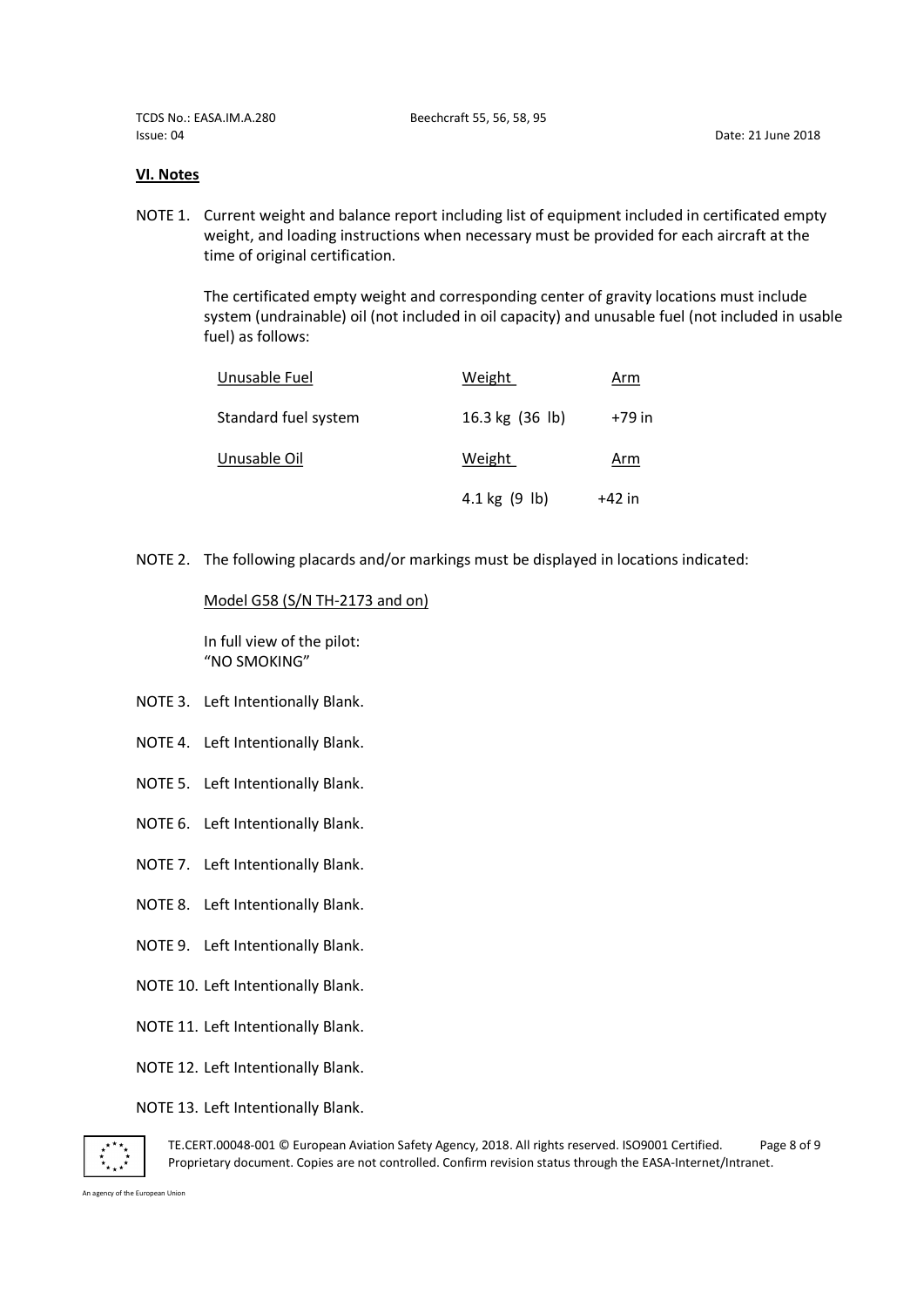TCDS No.: EASA.IM.A.280 Beechcraft 55, 56, 58, 95 Issue: 04 Date: 21 June 2018

### VI. Notes

NOTE 1. Current weight and balance report including list of equipment included in certificated empty weight, and loading instructions when necessary must be provided for each aircraft at the time of original certification.

The certificated empty weight and corresponding center of gravity locations must include system (undrainable) oil (not included in oil capacity) and unusable fuel (not included in usable fuel) as follows:

| Unusable Fuel        | Weight                  | Arm        |
|----------------------|-------------------------|------------|
| Standard fuel system | 16.3 kg (36 lb)         | +79 in     |
| Unusable Oil         | Weight                  | <u>Arm</u> |
|                      | $4.1 \text{ kg}$ (9 lb) | $+42$ in   |

NOTE 2. The following placards and/or markings must be displayed in locations indicated:

### Model G58 (S/N TH-2173 and on)

 In full view of the pilot: "NO SMOKING"

- NOTE 3. Left Intentionally Blank.
- NOTE 4. Left Intentionally Blank.
- NOTE 5. Left Intentionally Blank.
- NOTE 6. Left Intentionally Blank.
- NOTE 7. Left Intentionally Blank.
- NOTE 8. Left Intentionally Blank.
- NOTE 9. Left Intentionally Blank.
- NOTE 10. Left Intentionally Blank.
- NOTE 11. Left Intentionally Blank.
- NOTE 12. Left Intentionally Blank.

### NOTE 13. Left Intentionally Blank.



TE.CERT.00048-001 © European Aviation Safety Agency, 2018. All rights reserved. ISO9001 Certified. Page 8 of 9 Proprietary document. Copies are not controlled. Confirm revision status through the EASA-Internet/Intranet.